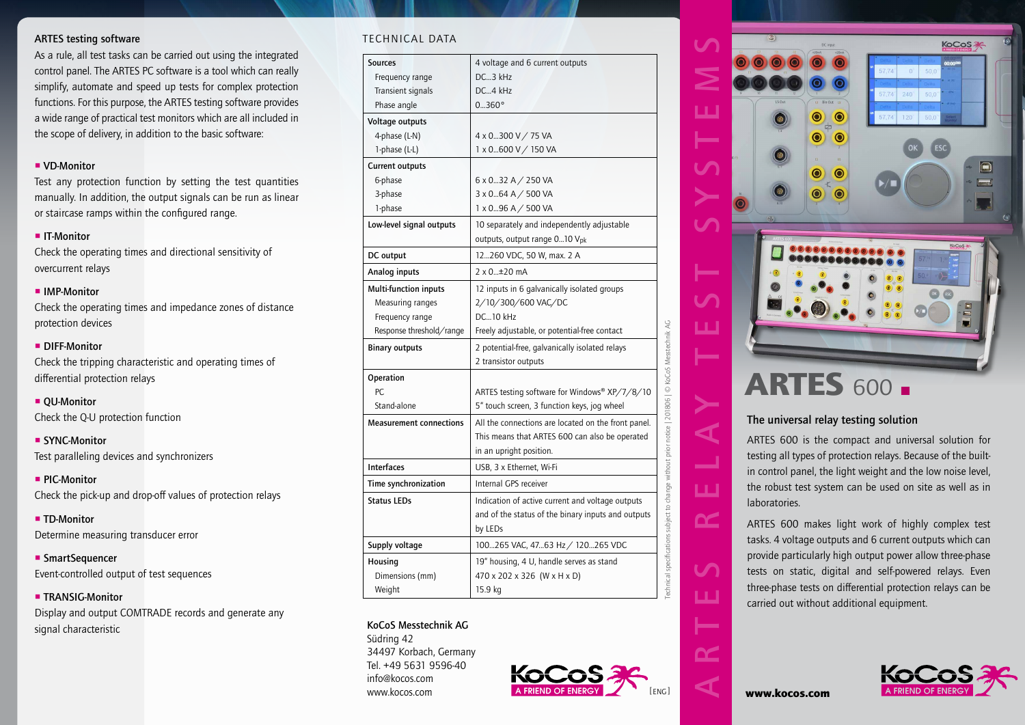### ARTES testing software

As a rule, all test tasks can be carried out using the integrated control panel. The ARTES PC software is a tool which can really simplify, automate and speed up tests for complex protection functions. For this purpose, the ARTES testing software provides a wide range of practical test monitors which are all included in the scope of delivery, in addition to the basic software:

### **VD-Monitor**

Test any protection function by setting the test quantities manually. In addition, the output signals can be run as linear or staircase ramps within the configured range.

#### **IT-Monitor**

Check the operating times and directional sensitivity of overcurrent relays

#### **IMP-Monitor**

Check the operating times and impedance zones of distance protection devices

### **DIFF-Monitor**

Check the tripping characteristic and operating times of differential protection relays

**OU-Monitor** Check the Q-U protection function

### ■ SYNC-Monitor

Test paralleling devices and synchronizers

**PIC-Monitor** Check the pick-up and drop-off values of protection relays

**TD-Monitor** Determine measuring transducer error

■ SmartSequencer Event-controlled output of test sequences

### **TRANSIG-Monitor**

Display and output COMTRADE records and generate any signal characteristic

### Technical data

| <b>Sources</b>                 |                                                                                                       |
|--------------------------------|-------------------------------------------------------------------------------------------------------|
|                                | 4 voltage and 6 current outputs                                                                       |
| Frequency range                | DC3 kHz                                                                                               |
| <b>Transient signals</b>       | DC4 kHz                                                                                               |
| Phase angle                    | 0360°                                                                                                 |
| Voltage outputs                |                                                                                                       |
| 4-phase (L-N)                  | 4 x 0300 V / 75 VA                                                                                    |
| 1-phase (L-L)                  | 1 x 0600 V / 150 VA                                                                                   |
| Current outputs                |                                                                                                       |
| 6-phase                        | $6 \times 0$ 32 A $/$ 250 VA                                                                          |
| 3-phase                        | 3 x 064 A / 500 VA                                                                                    |
| 1-phase                        | 1 x 096 A / 500 VA                                                                                    |
| Low-level signal outputs       | 10 separately and independently adjustable                                                            |
|                                | outputs, output range 010 V <sub>pk</sub>                                                             |
| DC output                      | 12260 VDC, 50 W, max. 2 A                                                                             |
| Analog inputs                  | $2 \times 0$ $\pm 20$ mA                                                                              |
| Multi-function inputs          | 12 inputs in 6 galvanically isolated groups                                                           |
| Measuring ranges               | 2/10/300/600 VAC/DC                                                                                   |
| Frequency range                | DC10 kHz                                                                                              |
| Response threshold/range       | Freely adjustable, or potential-free contact                                                          |
| <b>Binary outputs</b>          | 2 potential-free, galvanically isolated relays                                                        |
|                                | 2 transistor outputs                                                                                  |
| Operation                      |                                                                                                       |
| PC.                            | ARTES testing software for Windows® XP/7/8/10                                                         |
|                                | 5" touch screen, 3 function keys, jog wheel                                                           |
| Stand-alone                    |                                                                                                       |
| <b>Measurement connections</b> |                                                                                                       |
|                                |                                                                                                       |
|                                | in an upright position.                                                                               |
| <b>Interfaces</b>              | USB, 3 x Ethernet, Wi-Fi                                                                              |
| Time synchronization           | Internal GPS receiver                                                                                 |
| <b>Status LEDs</b>             | All the connections are located on the front panel.<br>This means that ARTES 600 can also be operated |
|                                | Indication of active current and voltage outputs                                                      |
|                                | by LEDs                                                                                               |
| Supply voltage                 | 100265 VAC, 4763 Hz / 120265 VDC                                                                      |
| Housing                        | and of the status of the binary inputs and outputs<br>19" housing, 4 U, handle serves as stand        |
| Dimensions (mm)                | 470 x 202 x 326 (W x H x D)                                                                           |

#### KoCoS Messtechnik AG





# The universal relay testing solution

ARTES 600 is the compact and universal solution for testing all types of protection relays. Because of the builtin control panel, the light weight and the low noise level, the robust test system can be used on site as well as in laboratories.

ARTES 600 makes light work of highly complex test tasks. 4 voltage outputs and 6 current outputs which can provide particularly high output power allow three-phase tests on static, digital and self-powered relays. Even three-phase tests on differential protection relays can be carried out without additional equipment.



ய

 $\alpha$ 

 $\mathbf{C}$ 

ய

**DC**